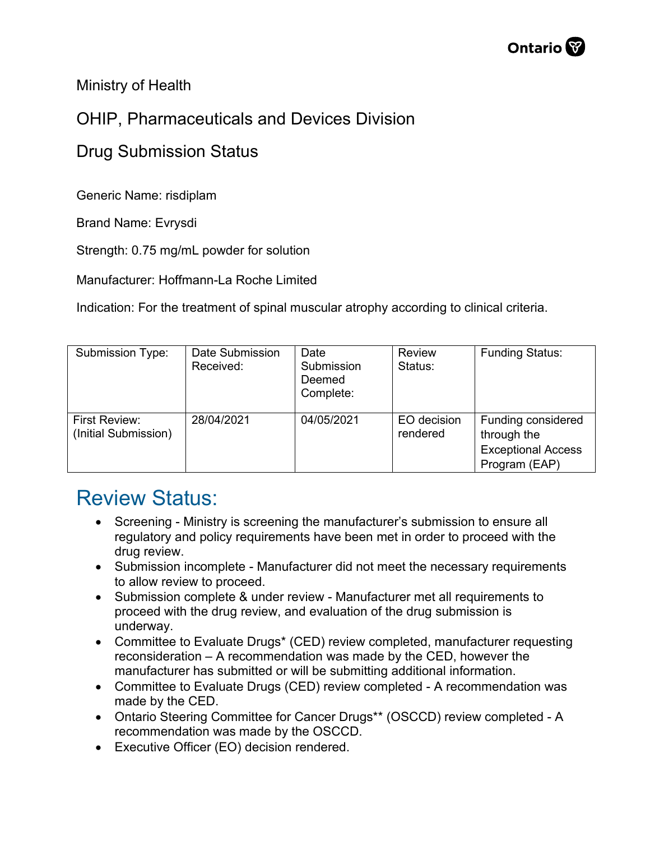Ministry of Health

## OHIP, Pharmaceuticals and Devices Division

## Drug Submission Status

Generic Name: risdiplam

Brand Name: Evrysdi

Strength: 0.75 mg/mL powder for solution

Manufacturer: Hoffmann-La Roche Limited

Indication: For the treatment of spinal muscular atrophy according to clinical criteria.

| <b>Submission Type:</b>               | Date Submission<br>Received: | Date<br>Submission<br>Deemed<br>Complete: | Review<br>Status:       | <b>Funding Status:</b>                                                          |
|---------------------------------------|------------------------------|-------------------------------------------|-------------------------|---------------------------------------------------------------------------------|
| First Review:<br>(Initial Submission) | 28/04/2021                   | 04/05/2021                                | EO decision<br>rendered | Funding considered<br>through the<br><b>Exceptional Access</b><br>Program (EAP) |

## Review Status:

- Screening Ministry is screening the manufacturer's submission to ensure all regulatory and policy requirements have been met in order to proceed with the drug review.
- Submission incomplete Manufacturer did not meet the necessary requirements to allow review to proceed.
- Submission complete & under review Manufacturer met all requirements to proceed with the drug review, and evaluation of the drug submission is underway.
- Committee to Evaluate Drugs\* (CED) review completed, manufacturer requesting reconsideration – A recommendation was made by the CED, however the manufacturer has submitted or will be submitting additional information.
- Committee to Evaluate Drugs (CED) review completed A recommendation was made by the CED.
- Ontario Steering Committee for Cancer Drugs\*\* (OSCCD) review completed A recommendation was made by the OSCCD.
- Executive Officer (EO) decision rendered.